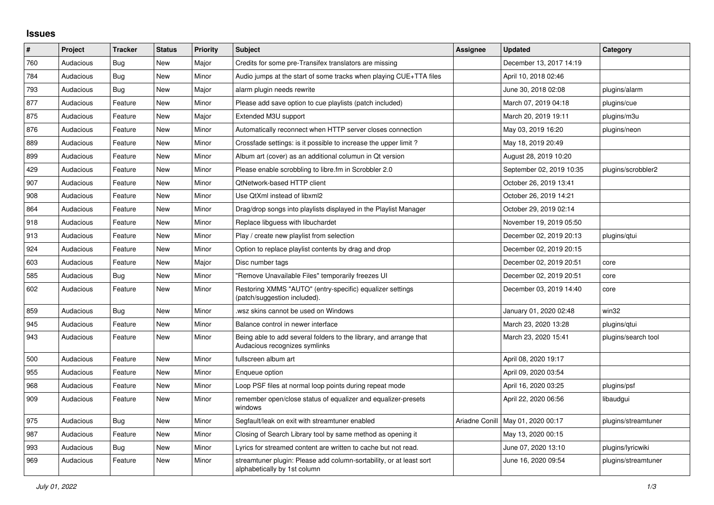## **Issues**

| ∦   | Project   | <b>Tracker</b> | <b>Status</b> | <b>Priority</b> | <b>Subject</b>                                                                                      | Assignee | <b>Updated</b>                      | Category            |
|-----|-----------|----------------|---------------|-----------------|-----------------------------------------------------------------------------------------------------|----------|-------------------------------------|---------------------|
| 760 | Audacious | Bug            | <b>New</b>    | Major           | Credits for some pre-Transifex translators are missing                                              |          | December 13, 2017 14:19             |                     |
| 784 | Audacious | Bug            | <b>New</b>    | Minor           | Audio jumps at the start of some tracks when playing CUE+TTA files                                  |          | April 10, 2018 02:46                |                     |
| 793 | Audacious | Bug            | <b>New</b>    | Major           | alarm plugin needs rewrite                                                                          |          | June 30, 2018 02:08                 | plugins/alarm       |
| 877 | Audacious | Feature        | <b>New</b>    | Minor           | Please add save option to cue playlists (patch included)                                            |          | March 07, 2019 04:18                | plugins/cue         |
| 875 | Audacious | Feature        | <b>New</b>    | Major           | Extended M3U support                                                                                |          | March 20, 2019 19:11                | plugins/m3u         |
| 876 | Audacious | Feature        | <b>New</b>    | Minor           | Automatically reconnect when HTTP server closes connection                                          |          | May 03, 2019 16:20                  | plugins/neon        |
| 889 | Audacious | Feature        | <b>New</b>    | Minor           | Crossfade settings: is it possible to increase the upper limit?                                     |          | May 18, 2019 20:49                  |                     |
| 899 | Audacious | Feature        | <b>New</b>    | Minor           | Album art (cover) as an additional columun in Qt version                                            |          | August 28, 2019 10:20               |                     |
| 429 | Audacious | Feature        | <b>New</b>    | Minor           | Please enable scrobbling to libre.fm in Scrobbler 2.0                                               |          | September 02, 2019 10:35            | plugins/scrobbler2  |
| 907 | Audacious | Feature        | New           | Minor           | QtNetwork-based HTTP client                                                                         |          | October 26, 2019 13:41              |                     |
| 908 | Audacious | Feature        | <b>New</b>    | Minor           | Use QtXml instead of libxml2                                                                        |          | October 26, 2019 14:21              |                     |
| 864 | Audacious | Feature        | <b>New</b>    | Minor           | Drag/drop songs into playlists displayed in the Playlist Manager                                    |          | October 29, 2019 02:14              |                     |
| 918 | Audacious | Feature        | <b>New</b>    | Minor           | Replace libguess with libuchardet                                                                   |          | November 19, 2019 05:50             |                     |
| 913 | Audacious | Feature        | <b>New</b>    | Minor           | Play / create new playlist from selection                                                           |          | December 02, 2019 20:13             | plugins/gtui        |
| 924 | Audacious | Feature        | <b>New</b>    | Minor           | Option to replace playlist contents by drag and drop                                                |          | December 02, 2019 20:15             |                     |
| 603 | Audacious | Feature        | <b>New</b>    | Major           | Disc number tags                                                                                    |          | December 02, 2019 20:51             | core                |
| 585 | Audacious | Bug            | New           | Minor           | "Remove Unavailable Files" temporarily freezes UI                                                   |          | December 02, 2019 20:51             | core                |
| 602 | Audacious | Feature        | <b>New</b>    | Minor           | Restoring XMMS "AUTO" (entry-specific) equalizer settings<br>(patch/suggestion included).           |          | December 03, 2019 14:40             | core                |
| 859 | Audacious | Bug            | <b>New</b>    | Minor           | wsz skins cannot be used on Windows                                                                 |          | January 01, 2020 02:48              | win32               |
| 945 | Audacious | Feature        | <b>New</b>    | Minor           | Balance control in newer interface                                                                  |          | March 23, 2020 13:28                | plugins/qtui        |
| 943 | Audacious | Feature        | <b>New</b>    | Minor           | Being able to add several folders to the library, and arrange that<br>Audacious recognizes symlinks |          | March 23, 2020 15:41                | plugins/search tool |
| 500 | Audacious | Feature        | <b>New</b>    | Minor           | fullscreen album art                                                                                |          | April 08, 2020 19:17                |                     |
| 955 | Audacious | Feature        | <b>New</b>    | Minor           | Enqueue option                                                                                      |          | April 09, 2020 03:54                |                     |
| 968 | Audacious | Feature        | <b>New</b>    | Minor           | Loop PSF files at normal loop points during repeat mode                                             |          | April 16, 2020 03:25                | plugins/psf         |
| 909 | Audacious | Feature        | <b>New</b>    | Minor           | remember open/close status of equalizer and equalizer-presets<br>windows                            |          | April 22, 2020 06:56                | libaudgui           |
| 975 | Audacious | Bug            | <b>New</b>    | Minor           | Segfault/leak on exit with streamtuner enabled                                                      |          | Ariadne Conill   May 01, 2020 00:17 | plugins/streamtuner |
| 987 | Audacious | Feature        | <b>New</b>    | Minor           | Closing of Search Library tool by same method as opening it                                         |          | May 13, 2020 00:15                  |                     |
| 993 | Audacious | Bug            | New           | Minor           | Lyrics for streamed content are written to cache but not read.                                      |          | June 07, 2020 13:10                 | plugins/lyricwiki   |
| 969 | Audacious | Feature        | <b>New</b>    | Minor           | streamtuner plugin: Please add column-sortability, or at least sort<br>alphabetically by 1st column |          | June 16, 2020 09:54                 | plugins/streamtuner |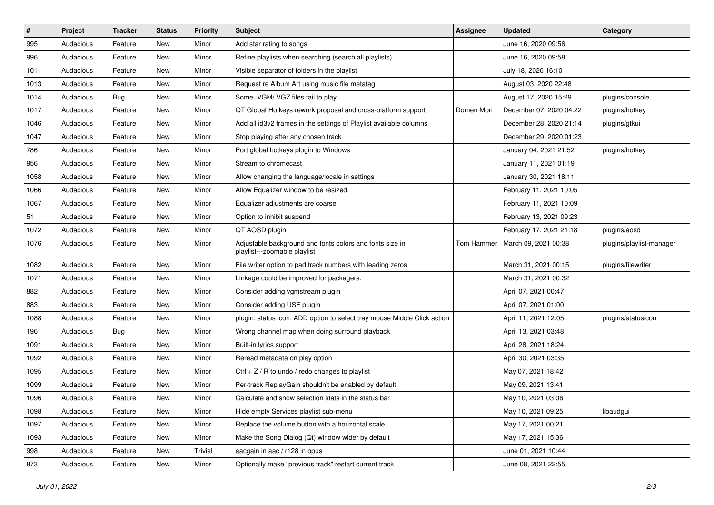| $\#$ | Project   | <b>Tracker</b> | <b>Status</b> | <b>Priority</b> | Subject                                                                                  | <b>Assignee</b> | <b>Updated</b>          | Category                 |
|------|-----------|----------------|---------------|-----------------|------------------------------------------------------------------------------------------|-----------------|-------------------------|--------------------------|
| 995  | Audacious | Feature        | New           | Minor           | Add star rating to songs                                                                 |                 | June 16, 2020 09:56     |                          |
| 996  | Audacious | Feature        | <b>New</b>    | Minor           | Refine playlists when searching (search all playlists)                                   |                 | June 16, 2020 09:58     |                          |
| 1011 | Audacious | Feature        | New           | Minor           | Visible separator of folders in the playlist                                             |                 | July 18, 2020 16:10     |                          |
| 1013 | Audacious | Feature        | New           | Minor           | Request re Album Art using music file metatag                                            |                 | August 03, 2020 22:48   |                          |
| 1014 | Audacious | <b>Bug</b>     | New           | Minor           | Some .VGM/.VGZ files fail to play                                                        |                 | August 17, 2020 15:29   | plugins/console          |
| 1017 | Audacious | Feature        | New           | Minor           | QT Global Hotkeys rework proposal and cross-platform support                             | Domen Mori      | December 07, 2020 04:22 | plugins/hotkey           |
| 1046 | Audacious | Feature        | New           | Minor           | Add all id3v2 frames in the settings of Playlist available columns                       |                 | December 28, 2020 21:14 | plugins/gtkui            |
| 1047 | Audacious | Feature        | New           | Minor           | Stop playing after any chosen track                                                      |                 | December 29, 2020 01:23 |                          |
| 786  | Audacious | Feature        | New           | Minor           | Port global hotkeys plugin to Windows                                                    |                 | January 04, 2021 21:52  | plugins/hotkey           |
| 956  | Audacious | Feature        | New           | Minor           | Stream to chromecast                                                                     |                 | January 11, 2021 01:19  |                          |
| 1058 | Audacious | Feature        | New           | Minor           | Allow changing the language/locale in settings                                           |                 | January 30, 2021 18:11  |                          |
| 1066 | Audacious | Feature        | New           | Minor           | Allow Equalizer window to be resized.                                                    |                 | February 11, 2021 10:05 |                          |
| 1067 | Audacious | Feature        | New           | Minor           | Equalizer adjustments are coarse.                                                        |                 | February 11, 2021 10:09 |                          |
| 51   | Audacious | Feature        | New           | Minor           | Option to inhibit suspend                                                                |                 | February 13, 2021 09:23 |                          |
| 1072 | Audacious | Feature        | New           | Minor           | QT AOSD plugin                                                                           |                 | February 17, 2021 21:18 | plugins/aosd             |
| 1076 | Audacious | Feature        | New           | Minor           | Adjustable background and fonts colors and fonts size in<br>playlist---zoomable playlist | Tom Hammer      | March 09, 2021 00:38    | plugins/playlist-manager |
| 1082 | Audacious | Feature        | New           | Minor           | File writer option to pad track numbers with leading zeros                               |                 | March 31, 2021 00:15    | plugins/filewriter       |
| 1071 | Audacious | Feature        | New           | Minor           | Linkage could be improved for packagers.                                                 |                 | March 31, 2021 00:32    |                          |
| 882  | Audacious | Feature        | New           | Minor           | Consider adding vgmstream plugin                                                         |                 | April 07, 2021 00:47    |                          |
| 883  | Audacious | Feature        | New           | Minor           | Consider adding USF plugin                                                               |                 | April 07, 2021 01:00    |                          |
| 1088 | Audacious | Feature        | New           | Minor           | plugin: status icon: ADD option to select tray mouse Middle Click action                 |                 | April 11, 2021 12:05    | plugins/statusicon       |
| 196  | Audacious | Bug            | New           | Minor           | Wrong channel map when doing surround playback                                           |                 | April 13, 2021 03:48    |                          |
| 1091 | Audacious | Feature        | New           | Minor           | Built-in lyrics support                                                                  |                 | April 28, 2021 18:24    |                          |
| 1092 | Audacious | Feature        | New           | Minor           | Reread metadata on play option                                                           |                 | April 30, 2021 03:35    |                          |
| 1095 | Audacious | Feature        | New           | Minor           | Ctrl + $Z$ / R to undo / redo changes to playlist                                        |                 | May 07, 2021 18:42      |                          |
| 1099 | Audacious | Feature        | New           | Minor           | Per-track ReplayGain shouldn't be enabled by default                                     |                 | May 09, 2021 13:41      |                          |
| 1096 | Audacious | Feature        | New           | Minor           | Calculate and show selection stats in the status bar                                     |                 | May 10, 2021 03:06      |                          |
| 1098 | Audacious | Feature        | New           | Minor           | Hide empty Services playlist sub-menu                                                    |                 | May 10, 2021 09:25      | libaudgui                |
| 1097 | Audacious | Feature        | New           | Minor           | Replace the volume button with a horizontal scale                                        |                 | May 17, 2021 00:21      |                          |
| 1093 | Audacious | Feature        | New           | Minor           | Make the Song Dialog (Qt) window wider by default                                        |                 | May 17, 2021 15:36      |                          |
| 998  | Audacious | Feature        | New           | Trivial         | aacgain in aac / r128 in opus                                                            |                 | June 01, 2021 10:44     |                          |
| 873  | Audacious | Feature        | New           | Minor           | Optionally make "previous track" restart current track                                   |                 | June 08, 2021 22:55     |                          |